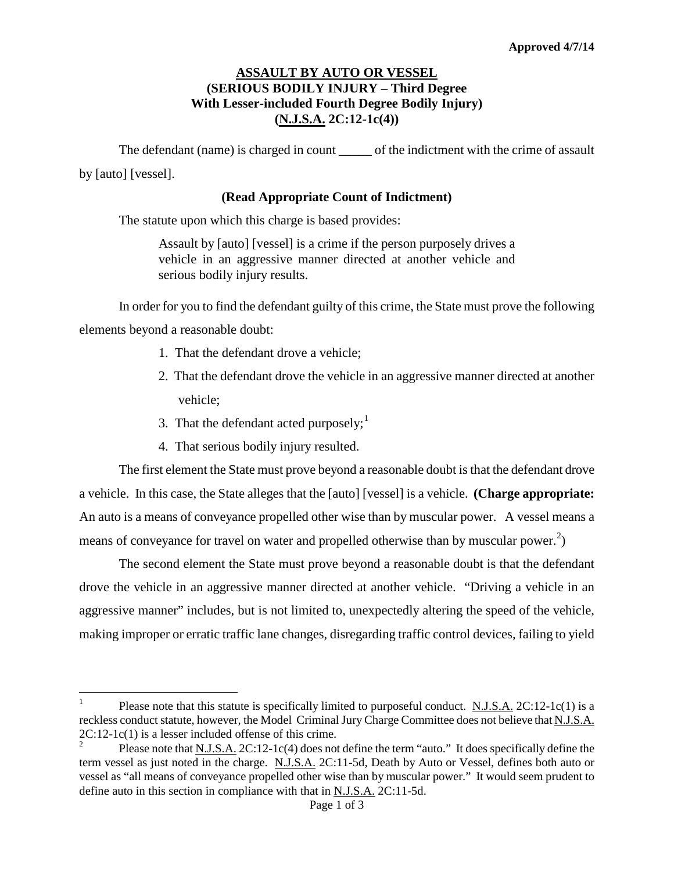## **ASSAULT BY AUTO OR VESSEL (SERIOUS BODILY INJURY – Third Degree With Lesser-included Fourth Degree Bodily Injury) (N.J.S.A. 2C:12-1c(4))**

The defendant (name) is charged in count \_\_\_\_\_\_ of the indictment with the crime of assault by [auto] [vessel].

## **(Read Appropriate Count of Indictment)**

The statute upon which this charge is based provides:

Assault by [auto] [vessel] is a crime if the person purposely drives a vehicle in an aggressive manner directed at another vehicle and serious bodily injury results.

In order for you to find the defendant guilty of this crime, the State must prove the following elements beyond a reasonable doubt:

- 1. That the defendant drove a vehicle;
- 2. That the defendant drove the vehicle in an aggressive manner directed at another vehicle;
- 3. That the defendant acted purposely; $<sup>1</sup>$  $<sup>1</sup>$  $<sup>1</sup>$ </sup>
- 4. That serious bodily injury resulted.

The first element the State must prove beyond a reasonable doubt is that the defendant drove a vehicle. In this case, the State alleges that the [auto] [vessel] is a vehicle. **(Charge appropriate:** An auto is a means of conveyance propelled other wise than by muscular power. A vessel means a means of conveyance for travel on water and propelled otherwise than by muscular power.<sup>[2](#page-0-0)</sup>)

The second element the State must prove beyond a reasonable doubt is that the defendant drove the vehicle in an aggressive manner directed at another vehicle. "Driving a vehicle in an aggressive manner" includes, but is not limited to, unexpectedly altering the speed of the vehicle, making improper or erratic traffic lane changes, disregarding traffic control devices, failing to yield

<sup>&</sup>lt;sup>1</sup> Please note that this statute is specifically limited to purposeful conduct. <u>N.J.S.A.</u>  $2C:12-1c(1)$  is a reckless conduct statute, however, the Model Criminal Jury Charge Committee does not believe that N.J.S.A.  $2C:12-1c(1)$  is a lesser included offense of this crime.<br><sup>2</sup> Please note that <u>N.J.S.A.</u> 2C:12-1c(4) does not define the term "auto." It does specifically define the

<span id="page-0-1"></span><span id="page-0-0"></span>term vessel as just noted in the charge. N.J.S.A. 2C:11-5d, Death by Auto or Vessel, defines both auto or vessel as "all means of conveyance propelled other wise than by muscular power." It would seem prudent to define auto in this section in compliance with that in N.J.S.A. 2C:11-5d.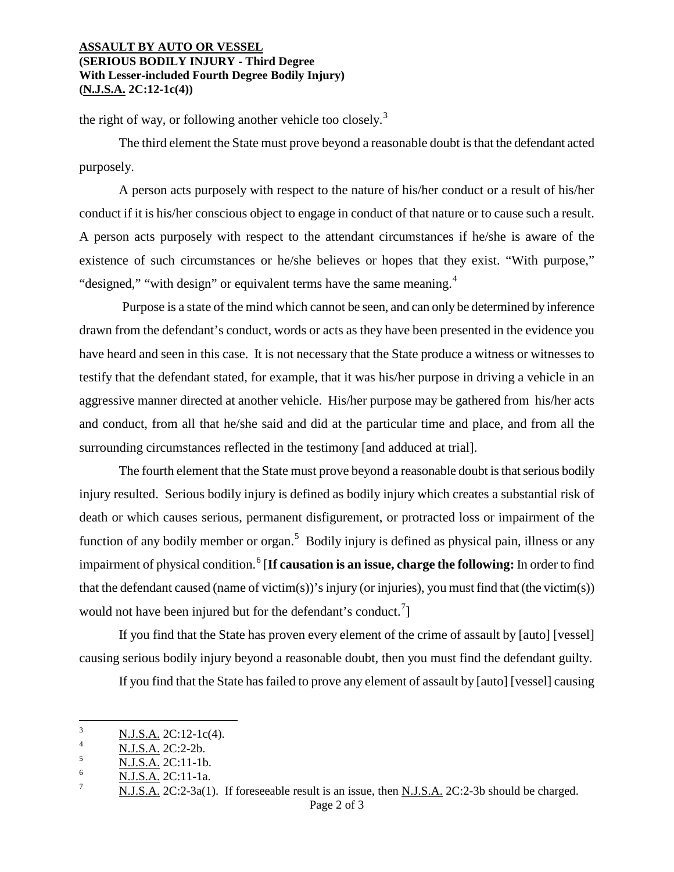## **ASSAULT BY AUTO OR VESSEL (SERIOUS BODILY INJURY - Third Degree With Lesser-included Fourth Degree Bodily Injury) (N.J.S.A. 2C:12-1c(4))**

the right of way, or following another vehicle too closely.<sup>[3](#page-0-1)</sup>

The third element the State must prove beyond a reasonable doubt is that the defendant acted purposely.

A person acts purposely with respect to the nature of his/her conduct or a result of his/her conduct if it is his/her conscious object to engage in conduct of that nature or to cause such a result. A person acts purposely with respect to the attendant circumstances if he/she is aware of the existence of such circumstances or he/she believes or hopes that they exist. "With purpose," "designed," "with design" or equivalent terms have the same meaning.<sup>[4](#page-1-1)</sup>

Purpose is a state of the mind which cannot be seen, and can only be determined by inference drawn from the defendant's conduct, words or acts as they have been presented in the evidence you have heard and seen in this case. It is not necessary that the State produce a witness or witnesses to testify that the defendant stated, for example, that it was his/her purpose in driving a vehicle in an aggressive manner directed at another vehicle. His/her purpose may be gathered from his/her acts and conduct, from all that he/she said and did at the particular time and place, and from all the surrounding circumstances reflected in the testimony [and adduced at trial].

The fourth element that the State must prove beyond a reasonable doubt is that serious bodily injury resulted. Serious bodily injury is defined as bodily injury which creates a substantial risk of death or which causes serious, permanent disfigurement, or protracted loss or impairment of the function of any bodily member or organ.<sup>[5](#page-1-2)</sup> Bodily injury is defined as physical pain, illness or any impairment of physical condition.<sup>[6](#page-1-3)</sup> [**If causation is an issue, charge the following:** In order to find that the defendant caused (name of victim(s))'s injury (or injuries), you must find that (the victim(s)) would not have been injured but for the defendant's conduct.<sup>[7](#page-1-4)</sup>]

If you find that the State has proven every element of the crime of assault by [auto] [vessel] causing serious bodily injury beyond a reasonable doubt, then you must find the defendant guilty.

If you find that the State has failed to prove any element of assault by [auto] [vessel] causing

<span id="page-1-0"></span> $\frac{1}{3}$  $\frac{N.J.S.A.}{N.I.S.A.}$  2C:12-1c(4).

<span id="page-1-1"></span> $\frac{4}{5}$  N.J.S.A. 2C:2-2b.

<span id="page-1-2"></span> $\frac{5}{6}$  N.J.S.A. 2C:11-1b.

<span id="page-1-5"></span><span id="page-1-4"></span><span id="page-1-3"></span> $\frac{6}{7}$  N.J.S.A. 2C:11-1a.

N.J.S.A. 2C:2-3a(1). If foreseeable result is an issue, then N.J.S.A. 2C:2-3b should be charged.